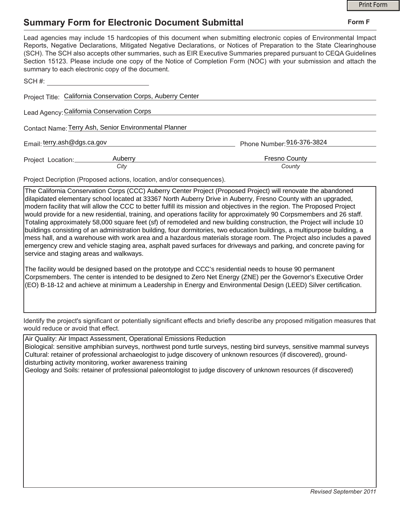## **Summary Form for Electronic Document Submittal**

|                                                                                                                                                                                                                                                                                                                                                                                                                                                                                                                                           | <b>Print Form</b> |
|-------------------------------------------------------------------------------------------------------------------------------------------------------------------------------------------------------------------------------------------------------------------------------------------------------------------------------------------------------------------------------------------------------------------------------------------------------------------------------------------------------------------------------------------|-------------------|
| <b>Summary Form for Electronic Document Submittal</b>                                                                                                                                                                                                                                                                                                                                                                                                                                                                                     | Form F            |
| Lead agencies may include 15 hardcopies of this document when submitting electronic copies of Environmental Impact<br>Reports, Negative Declarations, Mitigated Negative Declarations, or Notices of Preparation to the State Clearinghouse<br>(SCH). The SCH also accepts other summaries, such as EIR Executive Summaries prepared pursuant to CEQA Guidelines<br>Section 15123. Please include one copy of the Notice of Completion Form (NOC) with your submission and attach the<br>summary to each electronic copy of the document. |                   |
| SCH#:                                                                                                                                                                                                                                                                                                                                                                                                                                                                                                                                     |                   |
| Project Title: California Conservation Corps, Auberry Center                                                                                                                                                                                                                                                                                                                                                                                                                                                                              |                   |
| Lead Agency: California Conservation Corps                                                                                                                                                                                                                                                                                                                                                                                                                                                                                                |                   |
| Contact Name: Terry Ash, Senior Environmental Planner                                                                                                                                                                                                                                                                                                                                                                                                                                                                                     |                   |
| Email: terry.ash@dgs.ca.gov<br>Phone Number: 916-376-3824                                                                                                                                                                                                                                                                                                                                                                                                                                                                                 |                   |
| <b>Fresno County</b><br>Auberry<br>Project Location:<br>City<br>County                                                                                                                                                                                                                                                                                                                                                                                                                                                                    |                   |

Project Decription (Proposed actions, location, and/or consequences).

The California Conservation Corps (CCC) Auberry Center Project (Proposed Project) will renovate the abandoned dilapidated elementary school located at 33367 North Auberry Drive in Auberry, Fresno County with an upgraded, modern facility that will allow the CCC to better fulfill its mission and objectives in the region. The Proposed Project would provide for a new residential, training, and operations facility for approximately 90 Corpsmembers and 26 staff. Totaling approximately 58,000 square feet (sf) of remodeled and new building construction, the Project will include 10 buildings consisting of an administration building, four dormitories, two education buildings, a multipurpose building, a mess hall, and a warehouse with work area and a hazardous materials storage room. The Project also includes a paved emergency crew and vehicle staging area, asphalt paved surfaces for driveways and parking, and concrete paving for service and staging areas and walkways.

The facility would be designed based on the prototype and CCC's residential needs to house 90 permanent Corpsmembers. The center is intended to be designed to Zero Net Energy (ZNE) per the Governor's Executive Order (EO) B-18-12 and achieve at minimum a Leadership in Energy and Environmental Design (LEED) Silver certification.

Identify the project's significant or potentially significant effects and briefly describe any proposed mitigation measures that would reduce or avoid that effect.

Air Quality: Air Impact Assessment, Operational Emissions Reduction

Biological: sensitive amphibian surveys, northwest pond turtle surveys, nesting bird surveys, sensitive mammal surveys Cultural: retainer of professional archaeologist to judge discovery of unknown resources (if discovered), grounddisturbing activity monitoring, worker awareness training

Geology and Soils: retainer of professional paleontologist to judge discovery of unknown resources (if discovered)